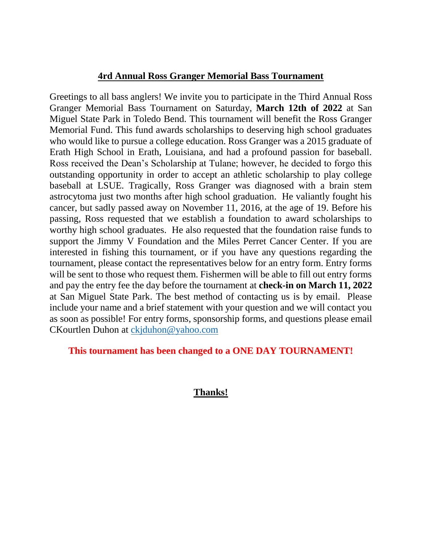# **4rd Annual Ross Granger Memorial Bass Tournament**

Greetings to all bass anglers! We invite you to participate in the Third Annual Ross Granger Memorial Bass Tournament on Saturday, **March 12th of 2022** at San Miguel State Park in Toledo Bend. This tournament will benefit the Ross Granger Memorial Fund. This fund awards scholarships to deserving high school graduates who would like to pursue a college education. Ross Granger was a 2015 graduate of Erath High School in Erath, Louisiana, and had a profound passion for baseball. Ross received the Dean's Scholarship at Tulane; however, he decided to forgo this outstanding opportunity in order to accept an athletic scholarship to play college baseball at LSUE. Tragically, Ross Granger was diagnosed with a brain stem astrocytoma just two months after high school graduation. He valiantly fought his cancer, but sadly passed away on November 11, 2016, at the age of 19. Before his passing, Ross requested that we establish a foundation to award scholarships to worthy high school graduates. He also requested that the foundation raise funds to support the Jimmy V Foundation and the Miles Perret Cancer Center. If you are interested in fishing this tournament, or if you have any questions regarding the tournament, please contact the representatives below for an entry form. Entry forms will be sent to those who request them. Fishermen will be able to fill out entry forms and pay the entry fee the day before the tournament at **check-in on March 11, 2022** at San Miguel State Park. The best method of contacting us is by email. Please include your name and a brief statement with your question and we will contact you as soon as possible! For entry forms, sponsorship forms, and questions please email CKourtlen Duhon at [ckjduhon@yahoo.com](mailto:ckjduhon@yahoo.com)

## **This tournament has been changed to a ONE DAY TOURNAMENT!**

# **Thanks!**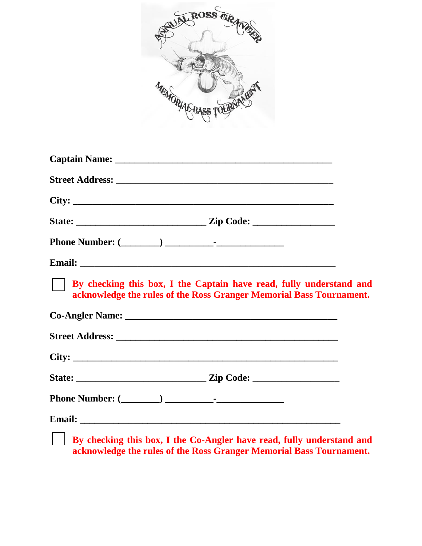

| $\text{City:}\n\quadp{array}{\longrightarrow}\n\quadp{array}{\longrightarrow}\n\quadp{array}{\longrightarrow}\n\quadp{array}{\longrightarrow}\n\quadp{array}{\longrightarrow}\n\quadp{array}{\longrightarrow}\n\quadp{array}{\longrightarrow}\n\quadp{array}{\longrightarrow}\n\quadp{array}{\longrightarrow}\n\quadp{array}{\longrightarrow}\n\quadp{array}{\longrightarrow}\n\quadp{array}{\longrightarrow}\n\quadp{array}{\longrightarrow}\n\quadp{array}{\longrightarrow}\n\quadp{array}{\longrightarrow}\n\quadp{array}{\longrightarrow}\n\quadp{array}{\longrightarrow}\n\quadp{array}{\longrightarrow}\n\quadp{array}{\longrightarrow}\n\quadp{array}{\longrightarrow}\n\quadp{array}{\longrightarrow}\n\quadp$ |                                                                                                                                            |  |
|------------------------------------------------------------------------------------------------------------------------------------------------------------------------------------------------------------------------------------------------------------------------------------------------------------------------------------------------------------------------------------------------------------------------------------------------------------------------------------------------------------------------------------------------------------------------------------------------------------------------------------------------------------------------------------------------------------------------|--------------------------------------------------------------------------------------------------------------------------------------------|--|
|                                                                                                                                                                                                                                                                                                                                                                                                                                                                                                                                                                                                                                                                                                                        |                                                                                                                                            |  |
|                                                                                                                                                                                                                                                                                                                                                                                                                                                                                                                                                                                                                                                                                                                        |                                                                                                                                            |  |
|                                                                                                                                                                                                                                                                                                                                                                                                                                                                                                                                                                                                                                                                                                                        |                                                                                                                                            |  |
|                                                                                                                                                                                                                                                                                                                                                                                                                                                                                                                                                                                                                                                                                                                        | By checking this box, I the Captain have read, fully understand and<br>acknowledge the rules of the Ross Granger Memorial Bass Tournament. |  |
|                                                                                                                                                                                                                                                                                                                                                                                                                                                                                                                                                                                                                                                                                                                        |                                                                                                                                            |  |
|                                                                                                                                                                                                                                                                                                                                                                                                                                                                                                                                                                                                                                                                                                                        |                                                                                                                                            |  |
|                                                                                                                                                                                                                                                                                                                                                                                                                                                                                                                                                                                                                                                                                                                        |                                                                                                                                            |  |
|                                                                                                                                                                                                                                                                                                                                                                                                                                                                                                                                                                                                                                                                                                                        |                                                                                                                                            |  |
|                                                                                                                                                                                                                                                                                                                                                                                                                                                                                                                                                                                                                                                                                                                        |                                                                                                                                            |  |
|                                                                                                                                                                                                                                                                                                                                                                                                                                                                                                                                                                                                                                                                                                                        | By checking this box, I the Co-Angler have read, fully understand and                                                                      |  |

**acknowledge the rules of the Ross Granger Memorial Bass Tournament.**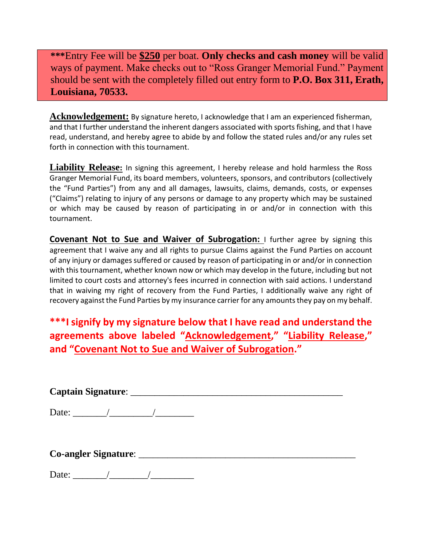**\*\*\***Entry Fee will be **\$250** per boat. **Only checks and cash money** will be valid ways of payment. Make checks out to "Ross Granger Memorial Fund." Payment should be sent with the completely filled out entry form to **P.O. Box 311, Erath, Louisiana, 70533.**

**Acknowledgement:** By signature hereto, I acknowledge that I am an experienced fisherman, and that I further understand the inherent dangers associated with sports fishing, and that I have read, understand, and hereby agree to abide by and follow the stated rules and/or any rules set forth in connection with this tournament.

**Liability Release:** In signing this agreement, I hereby release and hold harmless the Ross Granger Memorial Fund, its board members, volunteers, sponsors, and contributors (collectively the "Fund Parties") from any and all damages, lawsuits, claims, demands, costs, or expenses ("Claims") relating to injury of any persons or damage to any property which may be sustained or which may be caused by reason of participating in or and/or in connection with this tournament.

**Covenant Not to Sue and Waiver of Subrogation:** I further agree by signing this agreement that I waive any and all rights to pursue Claims against the Fund Parties on account of any injury or damages suffered or caused by reason of participating in or and/or in connection with this tournament, whether known now or which may develop in the future, including but not limited to court costs and attorney's fees incurred in connection with said actions. I understand that in waiving my right of recovery from the Fund Parties, I additionally waive any right of recovery against the Fund Parties by my insurance carrier for any amounts they pay on my behalf.

**\*\*\*I signify by my signature below that I have read and understand the agreements above labeled "Acknowledgement," "Liability Release," and "Covenant Not to Sue and Waiver of Subrogation."** 

**Captain Signature**: \_\_\_\_\_\_\_\_\_\_\_\_\_\_\_\_\_\_\_\_\_\_\_\_\_\_\_\_\_\_\_\_\_\_\_\_\_\_\_\_\_\_\_\_ Date:  $\qquad$  /  $\qquad$  / **Co-angler Signature**: \_\_\_\_\_\_\_\_\_\_\_\_\_\_\_\_\_\_\_\_\_\_\_\_\_\_\_\_\_\_\_\_\_\_\_\_\_\_\_\_\_\_\_\_\_

Date: \_\_\_\_\_\_\_/\_\_\_\_\_\_\_\_/\_\_\_\_\_\_\_\_\_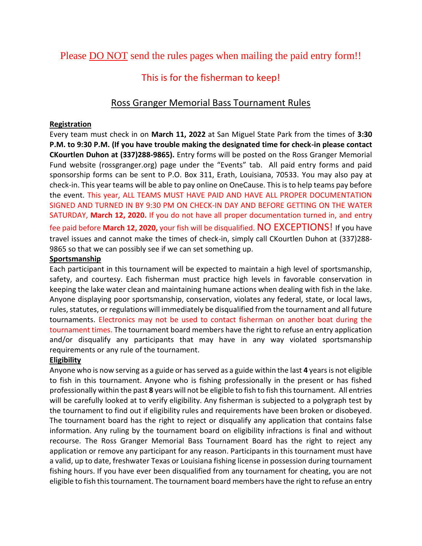Please DO NOT send the rules pages when mailing the paid entry form!!

# This is for the fisherman to keep!

# Ross Granger Memorial Bass Tournament Rules

### **Registration**

Every team must check in on **March 11, 2022** at San Miguel State Park from the times of **3:30 P.M. to 9:30 P.M. (If you have trouble making the designated time for check-in please contact CKourtlen Duhon at (337)288-9865).** Entry forms will be posted on the Ross Granger Memorial Fund website (rossgranger.org) page under the "Events" tab. All paid entry forms and paid sponsorship forms can be sent to P.O. Box 311, Erath, Louisiana, 70533. You may also pay at check-in. This year teams will be able to pay online on OneCause. This is to help teams pay before the event. This year, ALL TEAMS MUST HAVE PAID AND HAVE ALL PROPER DOCUMENTATION SIGNED AND TURNED IN BY 9:30 PM ON CHECK-IN DAY AND BEFORE GETTING ON THE WATER SATURDAY, **March 12, 2020.** If you do not have all proper documentation turned in, and entry fee paid before **March 12, 2020,** your fish will be disqualified. NO EXCEPTIONS! If you have travel issues and cannot make the times of check-in, simply call CKourtlen Duhon at (337)288- 9865 so that we can possibly see if we can set something up.

### **Sportsmanship**

Each participant in this tournament will be expected to maintain a high level of sportsmanship, safety, and courtesy. Each fisherman must practice high levels in favorable conservation in keeping the lake water clean and maintaining humane actions when dealing with fish in the lake. Anyone displaying poor sportsmanship, conservation, violates any federal, state, or local laws, rules, statutes, or regulations will immediately be disqualified from the tournament and all future tournaments. Electronics may not be used to contact fisherman on another boat during the tournament times. The tournament board members have the right to refuse an entry application and/or disqualify any participants that may have in any way violated sportsmanship requirements or any rule of the tournament.

## **Eligibility**

Anyone who is now serving as a guide or has served as a guide within the last **4** years is not eligible to fish in this tournament. Anyone who is fishing professionally in the present or has fished professionally within the past **8** years will not be eligible to fish to fish this tournament. All entries will be carefully looked at to verify eligibility. Any fisherman is subjected to a polygraph test by the tournament to find out if eligibility rules and requirements have been broken or disobeyed. The tournament board has the right to reject or disqualify any application that contains false information. Any ruling by the tournament board on eligibility infractions is final and without recourse. The Ross Granger Memorial Bass Tournament Board has the right to reject any application or remove any participant for any reason. Participants in this tournament must have a valid, up to date, freshwater Texas or Louisiana fishing license in possession during tournament fishing hours. If you have ever been disqualified from any tournament for cheating, you are not eligible to fish this tournament. The tournament board members have the right to refuse an entry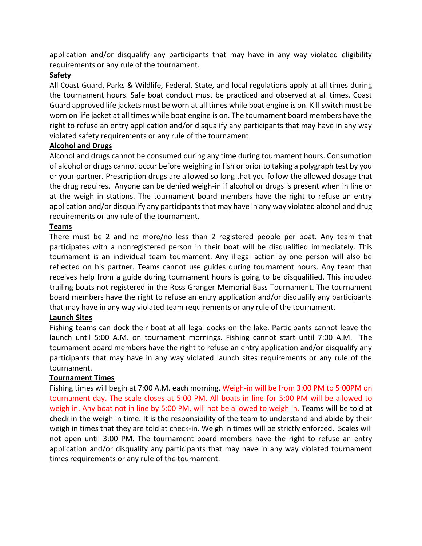application and/or disqualify any participants that may have in any way violated eligibility requirements or any rule of the tournament.

### **Safety**

All Coast Guard, Parks & Wildlife, Federal, State, and local regulations apply at all times during the tournament hours. Safe boat conduct must be practiced and observed at all times. Coast Guard approved life jackets must be worn at all times while boat engine is on. Kill switch must be worn on life jacket at all times while boat engine is on. The tournament board members have the right to refuse an entry application and/or disqualify any participants that may have in any way violated safety requirements or any rule of the tournament

#### **Alcohol and Drugs**

Alcohol and drugs cannot be consumed during any time during tournament hours. Consumption of alcohol or drugs cannot occur before weighing in fish or prior to taking a polygraph test by you or your partner. Prescription drugs are allowed so long that you follow the allowed dosage that the drug requires. Anyone can be denied weigh-in if alcohol or drugs is present when in line or at the weigh in stations. The tournament board members have the right to refuse an entry application and/or disqualify any participants that may have in any way violated alcohol and drug requirements or any rule of the tournament.

#### **Teams**

There must be 2 and no more/no less than 2 registered people per boat. Any team that participates with a nonregistered person in their boat will be disqualified immediately. This tournament is an individual team tournament. Any illegal action by one person will also be reflected on his partner. Teams cannot use guides during tournament hours. Any team that receives help from a guide during tournament hours is going to be disqualified. This included trailing boats not registered in the Ross Granger Memorial Bass Tournament. The tournament board members have the right to refuse an entry application and/or disqualify any participants that may have in any way violated team requirements or any rule of the tournament.

#### **Launch Sites**

Fishing teams can dock their boat at all legal docks on the lake. Participants cannot leave the launch until 5:00 A.M. on tournament mornings. Fishing cannot start until 7:00 A.M. The tournament board members have the right to refuse an entry application and/or disqualify any participants that may have in any way violated launch sites requirements or any rule of the tournament.

#### **Tournament Times**

Fishing times will begin at 7:00 A.M. each morning. Weigh-in will be from 3:00 PM to 5:00PM on tournament day. The scale closes at 5:00 PM. All boats in line for 5:00 PM will be allowed to weigh in. Any boat not in line by 5:00 PM, will not be allowed to weigh in. Teams will be told at check in the weigh in time. It is the responsibility of the team to understand and abide by their weigh in times that they are told at check-in. Weigh in times will be strictly enforced. Scales will not open until 3:00 PM. The tournament board members have the right to refuse an entry application and/or disqualify any participants that may have in any way violated tournament times requirements or any rule of the tournament.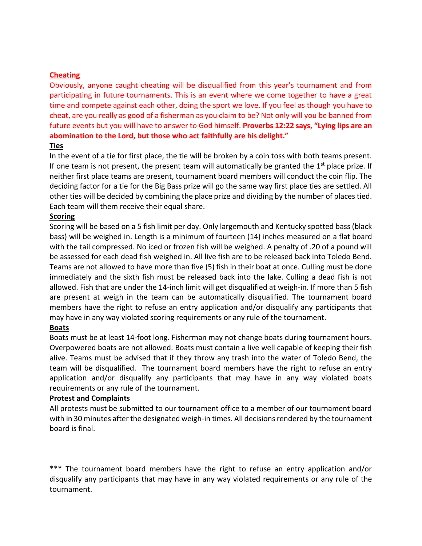#### **Cheating**

Obviously, anyone caught cheating will be disqualified from this year's tournament and from participating in future tournaments. This is an event where we come together to have a great time and compete against each other, doing the sport we love. If you feel as though you have to cheat, are you really as good of a fisherman as you claim to be? Not only will you be banned from future events but you will have to answer to God himself. **Proverbs 12:22 says, "Lying lips are an abomination to the Lord, but those who act faithfully are his delight."** 

#### **Ties**

In the event of a tie for first place, the tie will be broken by a coin toss with both teams present. If one team is not present, the present team will automatically be granted the  $1<sup>st</sup>$  place prize. If neither first place teams are present, tournament board members will conduct the coin flip. The deciding factor for a tie for the Big Bass prize will go the same way first place ties are settled. All other ties will be decided by combining the place prize and dividing by the number of places tied. Each team will them receive their equal share.

#### **Scoring**

Scoring will be based on a 5 fish limit per day. Only largemouth and Kentucky spotted bass (black bass) will be weighed in. Length is a minimum of fourteen (14) inches measured on a flat board with the tail compressed. No iced or frozen fish will be weighed. A penalty of .20 of a pound will be assessed for each dead fish weighed in. All live fish are to be released back into Toledo Bend. Teams are not allowed to have more than five (5) fish in their boat at once. Culling must be done immediately and the sixth fish must be released back into the lake. Culling a dead fish is not allowed. Fish that are under the 14-inch limit will get disqualified at weigh-in. If more than 5 fish are present at weigh in the team can be automatically disqualified. The tournament board members have the right to refuse an entry application and/or disqualify any participants that may have in any way violated scoring requirements or any rule of the tournament.

#### **Boats**

Boats must be at least 14-foot long. Fisherman may not change boats during tournament hours. Overpowered boats are not allowed. Boats must contain a live well capable of keeping their fish alive. Teams must be advised that if they throw any trash into the water of Toledo Bend, the team will be disqualified. The tournament board members have the right to refuse an entry application and/or disqualify any participants that may have in any way violated boats requirements or any rule of the tournament.

#### **Protest and Complaints**

All protests must be submitted to our tournament office to a member of our tournament board with in 30 minutes after the designated weigh-in times. All decisions rendered by the tournament board is final.

\*\*\* The tournament board members have the right to refuse an entry application and/or disqualify any participants that may have in any way violated requirements or any rule of the tournament.